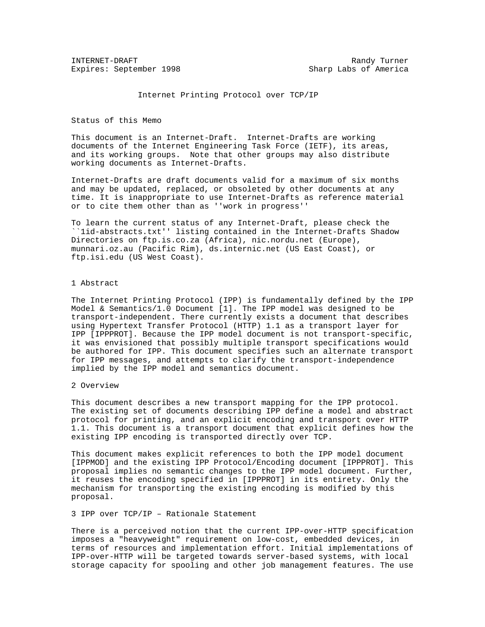INTERNET-DRAFT Randy Turner Expires: September 1998 Sharp Labs of America

Internet Printing Protocol over TCP/IP

Status of this Memo

This document is an Internet-Draft. Internet-Drafts are working documents of the Internet Engineering Task Force (IETF), its areas, and its working groups. Note that other groups may also distribute working documents as Internet-Drafts.

Internet-Drafts are draft documents valid for a maximum of six months and may be updated, replaced, or obsoleted by other documents at any time. It is inappropriate to use Internet-Drafts as reference material or to cite them other than as ''work in progress''

To learn the current status of any Internet-Draft, please check the ``1id-abstracts.txt'' listing contained in the Internet-Drafts Shadow Directories on ftp.is.co.za (Africa), nic.nordu.net (Europe), munnari.oz.au (Pacific Rim), ds.internic.net (US East Coast), or ftp.isi.edu (US West Coast).

## 1 Abstract

The Internet Printing Protocol (IPP) is fundamentally defined by the IPP Model & Semantics/1.0 Document [1]. The IPP model was designed to be transport-independent. There currently exists a document that describes using Hypertext Transfer Protocol (HTTP) 1.1 as a transport layer for IPP [IPPPROT]. Because the IPP model document is not transport-specific, it was envisioned that possibly multiple transport specifications would be authored for IPP. This document specifies such an alternate transport for IPP messages, and attempts to clarify the transport-independence implied by the IPP model and semantics document.

#### 2 Overview

This document describes a new transport mapping for the IPP protocol. The existing set of documents describing IPP define a model and abstract protocol for printing, and an explicit encoding and transport over HTTP 1.1. This document is a transport document that explicit defines how the existing IPP encoding is transported directly over TCP.

This document makes explicit references to both the IPP model document [IPPMOD] and the existing IPP Protocol/Encoding document [IPPPROT]. This proposal implies no semantic changes to the IPP model document. Further, it reuses the encoding specified in [IPPPROT] in its entirety. Only the mechanism for transporting the existing encoding is modified by this proposal.

## 3 IPP over TCP/IP – Rationale Statement

There is a perceived notion that the current IPP-over-HTTP specification imposes a "heavyweight" requirement on low-cost, embedded devices, in terms of resources and implementation effort. Initial implementations of IPP-over-HTTP will be targeted towards server-based systems, with local storage capacity for spooling and other job management features. The use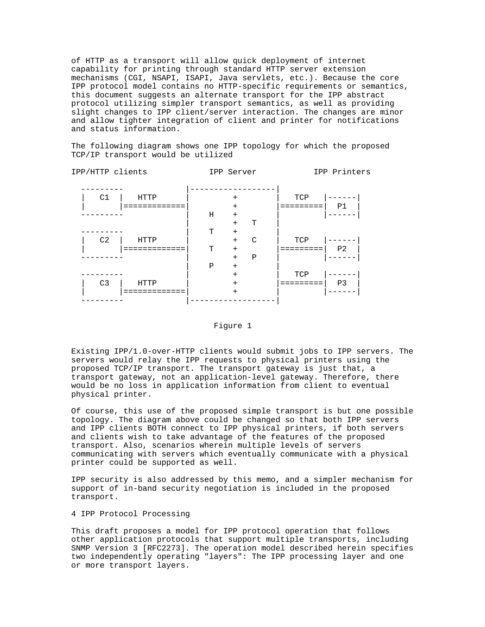of HTTP as a transport will allow quick deployment of internet capability for printing through standard HTTP server extension mechanisms (CGI, NSAPI, ISAPI, Java servlets, etc.). Because the core IPP protocol model contains no HTTP-specific requirements or semantics, this document suggests an alternate transport for the IPP abstract protocol utilizing simpler transport semantics, as well as providing slight changes to IPP client/server interaction. The changes are minor and allow tighter integration of client and printer for notifications and status information.

The following diagram shows one IPP topology for which the proposed TCP/IP transport would be utilized

|   |                |               |            | IPP Printers   |
|---|----------------|---------------|------------|----------------|
|   |                |               |            |                |
|   | $+$            |               | TCP        |                |
|   | $\ddot{}$      |               |            | P1             |
| Η | $+$            |               |            |                |
|   | $+$            | Т             |            |                |
| T | $+$            |               |            |                |
|   | $+$            | $\mathcal{C}$ | TCP        |                |
| T | $+$            |               |            | P <sub>2</sub> |
|   | $+$            | $\mathbf P$   |            |                |
| Ρ | $+$            |               |            |                |
|   | $+$            |               | TCP        |                |
|   | $\overline{+}$ |               |            | P <sub>3</sub> |
|   | $+$            |               |            |                |
|   |                |               |            |                |
|   |                |               | IPP Server |                |

## Figure 1

Existing IPP/1.0-over-HTTP clients would submit jobs to IPP servers. The servers would relay the IPP requests to physical printers using the proposed TCP/IP transport. The transport gateway is just that, a transport gateway, not an application-level gateway. Therefore, there would be no loss in application information from client to eventual physical printer.

Of course, this use of the proposed simple transport is but one possible topology. The diagram above could be changed so that both IPP servers and IPP clients BOTH connect to IPP physical printers, if both servers and clients wish to take advantage of the features of the proposed transport. Also, scenarios wherein multiple levels of servers communicating with servers which eventually communicate with a physical printer could be supported as well.

IPP security is also addressed by this memo, and a simpler mechanism for support of in-band security negotiation is included in the proposed transport.

# 4 IPP Protocol Processing

This draft proposes a model for IPP protocol operation that follows other application protocols that support multiple transports, including SNMP Version 3 [RFC2273]. The operation model described herein specifies two independently operating "layers": The IPP processing layer and one or more transport layers.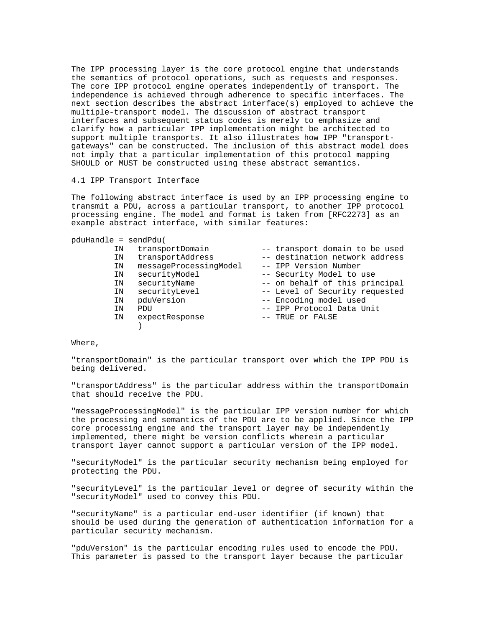The IPP processing layer is the core protocol engine that understands the semantics of protocol operations, such as requests and responses. The core IPP protocol engine operates independently of transport. The independence is achieved through adherence to specific interfaces. The next section describes the abstract interface(s) employed to achieve the multiple-transport model. The discussion of abstract transport interfaces and subsequent status codes is merely to emphasize and clarify how a particular IPP implementation might be architected to support multiple transports. It also illustrates how IPP "transportgateways" can be constructed. The inclusion of this abstract model does not imply that a particular implementation of this protocol mapping SHOULD or MUST be constructed using these abstract semantics.

#### 4.1 IPP Transport Interface

The following abstract interface is used by an IPP processing engine to transmit a PDU, across a particular transport, to another IPP protocol processing engine. The model and format is taken from [RFC2273] as an example abstract interface, with similar features:

pduHandle = sendPdu(

| ΙN | transportDomain        | -- transport domain to be used |
|----|------------------------|--------------------------------|
| ΙN | transportAddress       | -- destination network address |
| ΙN | messageProcessingModel | -- IPP Version Number          |
| ΙN | securityModel          | -- Security Model to use       |
| IN | securityName           | -- on behalf of this principal |
| ΙN | securityLevel          | -- Level of Security requested |
| IN | pduVersion             | -- Encoding model used         |
| ΙN | PDU                    | -- IPP Protocol Data Unit      |
| ΙN | expectResponse         | -- TRUE or FALSE               |
|    |                        |                                |

Where,

"transportDomain" is the particular transport over which the IPP PDU is being delivered.

"transportAddress" is the particular address within the transportDomain that should receive the PDU.

"messageProcessingModel" is the particular IPP version number for which the processing and semantics of the PDU are to be applied. Since the IPP core processing engine and the transport layer may be independently implemented, there might be version conflicts wherein a particular transport layer cannot support a particular version of the IPP model.

"securityModel" is the particular security mechanism being employed for protecting the PDU.

"securityLevel" is the particular level or degree of security within the "securityModel" used to convey this PDU.

"securityName" is a particular end-user identifier (if known) that should be used during the generation of authentication information for a particular security mechanism.

"pduVersion" is the particular encoding rules used to encode the PDU. This parameter is passed to the transport layer because the particular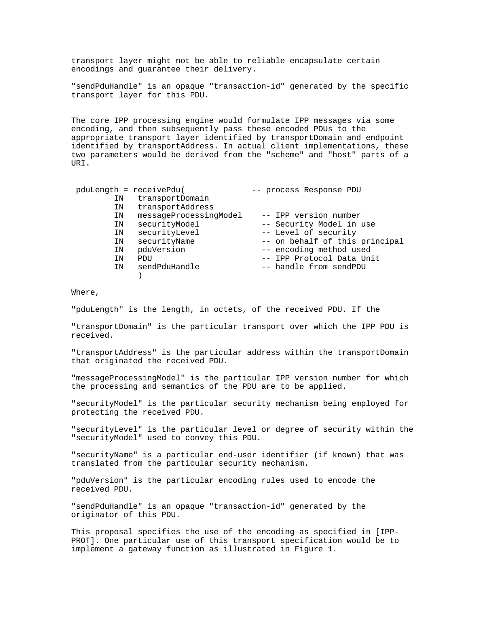transport layer might not be able to reliable encapsulate certain encodings and guarantee their delivery.

"sendPduHandle" is an opaque "transaction-id" generated by the specific transport layer for this PDU.

The core IPP processing engine would formulate IPP messages via some encoding, and then subsequently pass these encoded PDUs to the appropriate transport layer identified by transportDomain and endpoint identified by transportAddress. In actual client implementations, these two parameters would be derived from the "scheme" and "host" parts of a URI.

| pduLength = receivePdu( |                        | -- process Response PDU        |
|-------------------------|------------------------|--------------------------------|
| ΙN                      | transportDomain        |                                |
| ΙN                      | transportAddress       |                                |
| ΙN                      | messageProcessingModel | -- IPP version number          |
| ΙN                      | securityModel          | -- Security Model in use       |
| ΙN                      | securityLevel          | -- Level of security           |
| IN                      | securityName           | -- on behalf of this principal |
| ΙN                      | pduVersion             | -- encoding method used        |
| ΙN                      | PDU                    | -- IPP Protocol Data Unit      |
| ΙN                      | sendPduHandle          | -- handle from sendPDU         |
|                         |                        |                                |

Where,

"pduLength" is the length, in octets, of the received PDU. If the

"transportDomain" is the particular transport over which the IPP PDU is received.

"transportAddress" is the particular address within the transportDomain that originated the received PDU.

"messageProcessingModel" is the particular IPP version number for which the processing and semantics of the PDU are to be applied.

"securityModel" is the particular security mechanism being employed for protecting the received PDU.

"securityLevel" is the particular level or degree of security within the "securityModel" used to convey this PDU.

"securityName" is a particular end-user identifier (if known) that was translated from the particular security mechanism.

"pduVersion" is the particular encoding rules used to encode the received PDU.

"sendPduHandle" is an opaque "transaction-id" generated by the originator of this PDU.

This proposal specifies the use of the encoding as specified in [IPP-PROT]. One particular use of this transport specification would be to implement a gateway function as illustrated in Figure 1.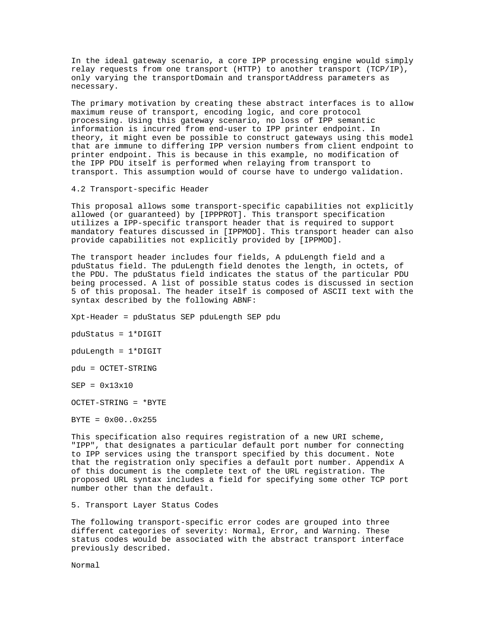In the ideal gateway scenario, a core IPP processing engine would simply relay requests from one transport (HTTP) to another transport (TCP/IP), only varying the transportDomain and transportAddress parameters as necessary.

The primary motivation by creating these abstract interfaces is to allow maximum reuse of transport, encoding logic, and core protocol processing. Using this gateway scenario, no loss of IPP semantic information is incurred from end-user to IPP printer endpoint. In theory, it might even be possible to construct gateways using this model that are immune to differing IPP version numbers from client endpoint to printer endpoint. This is because in this example, no modification of the IPP PDU itself is performed when relaying from transport to transport. This assumption would of course have to undergo validation.

4.2 Transport-specific Header

This proposal allows some transport-specific capabilities not explicitly allowed (or guaranteed) by [IPPPROT]. This transport specification utilizes a IPP-specific transport header that is required to support mandatory features discussed in [IPPMOD]. This transport header can also provide capabilities not explicitly provided by [IPPMOD].

The transport header includes four fields, A pduLength field and a pduStatus field. The pduLength field denotes the length, in octets, of the PDU. The pduStatus field indicates the status of the particular PDU being processed. A list of possible status codes is discussed in section 5 of this proposal. The header itself is composed of ASCII text with the syntax described by the following ABNF:

Xpt-Header = pduStatus SEP pduLength SEP pdu

pduStatus = 1\*DIGIT

pduLength = 1\*DIGIT

pdu = OCTET-STRING

SEP = 0x13x10

OCTET-STRING = \*BYTE

 $BYTE = 0x00...0x255$ 

This specification also requires registration of a new URI scheme, "IPP", that designates a particular default port number for connecting to IPP services using the transport specified by this document. Note that the registration only specifies a default port number. Appendix A of this document is the complete text of the URL registration. The proposed URL syntax includes a field for specifying some other TCP port number other than the default.

5. Transport Layer Status Codes

The following transport-specific error codes are grouped into three different categories of severity: Normal, Error, and Warning. These status codes would be associated with the abstract transport interface previously described.

Normal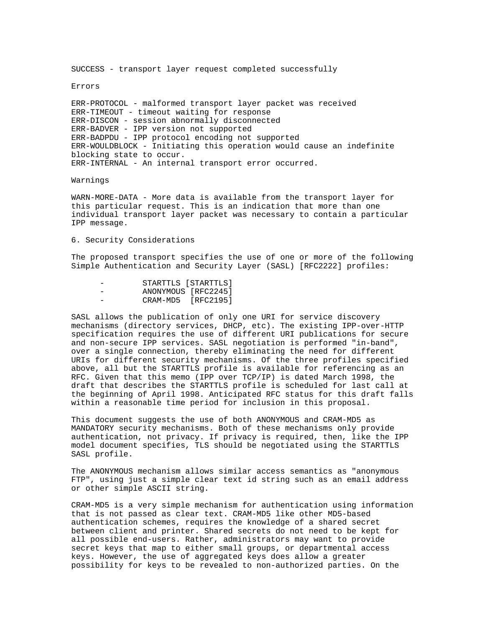SUCCESS - transport layer request completed successfully

Errors

ERR-PROTOCOL - malformed transport layer packet was received ERR-TIMEOUT - timeout waiting for response ERR-DISCON - session abnormally disconnected ERR-BADVER - IPP version not supported ERR-BADPDU - IPP protocol encoding not supported ERR-WOULDBLOCK - Initiating this operation would cause an indefinite blocking state to occur. ERR-INTERNAL - An internal transport error occurred.

Warnings

WARN-MORE-DATA - More data is available from the transport layer for this particular request. This is an indication that more than one individual transport layer packet was necessary to contain a particular IPP message.

6. Security Considerations

The proposed transport specifies the use of one or more of the following Simple Authentication and Security Layer (SASL) [RFC2222] profiles:

| $\overline{\phantom{a}}$ | STARTTLS [STARTTLS] |  |
|--------------------------|---------------------|--|
| $\overline{\phantom{a}}$ | ANONYMOUS [RFC2245] |  |
| $\overline{\phantom{a}}$ | CRAM-MD5 [RFC2195]  |  |

SASL allows the publication of only one URI for service discovery mechanisms (directory services, DHCP, etc). The existing IPP-over-HTTP specification requires the use of different URI publications for secure and non-secure IPP services. SASL negotiation is performed "in-band", over a single connection, thereby eliminating the need for different URIs for different security mechanisms. Of the three profiles specified above, all but the STARTTLS profile is available for referencing as an RFC. Given that this memo (IPP over TCP/IP) is dated March 1998, the draft that describes the STARTTLS profile is scheduled for last call at the beginning of April 1998. Anticipated RFC status for this draft falls within a reasonable time period for inclusion in this proposal.

This document suggests the use of both ANONYMOUS and CRAM-MD5 as MANDATORY security mechanisms. Both of these mechanisms only provide authentication, not privacy. If privacy is required, then, like the IPP model document specifies, TLS should be negotiated using the STARTTLS SASL profile.

The ANONYMOUS mechanism allows similar access semantics as "anonymous FTP", using just a simple clear text id string such as an email address or other simple ASCII string.

CRAM-MD5 is a very simple mechanism for authentication using information that is not passed as clear text. CRAM-MD5 like other MD5-based authentication schemes, requires the knowledge of a shared secret between client and printer. Shared secrets do not need to be kept for all possible end-users. Rather, administrators may want to provide secret keys that map to either small groups, or departmental access keys. However, the use of aggregated keys does allow a greater possibility for keys to be revealed to non-authorized parties. On the